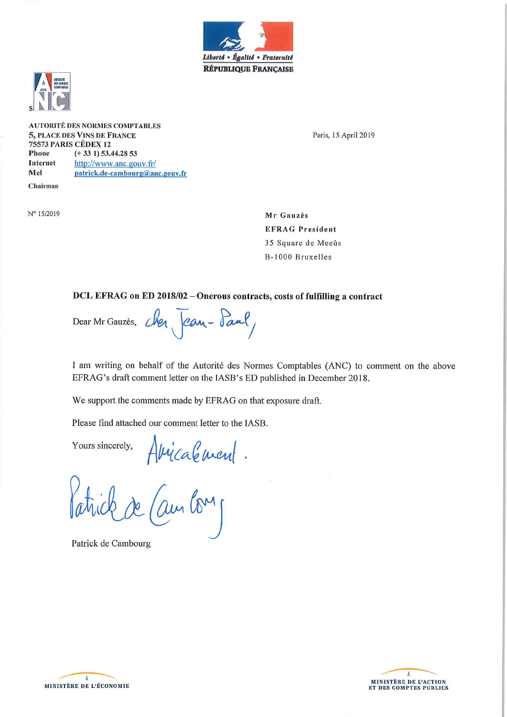



N° 15/2019

**AUTORITÉ DES NORMES COMPTABLES** 5, PLACE DES VINS DE FRANCE 75573 PARIS CÉDEX 12 Phone  $(+331)$  53.44.28 53 Internet http://www.anc.gouv.fr/ Mel patrick.de-cambourg@anc.gouv.fr Chairman

Paris, 15 April 2019

Mr Gauzès **EFRAG President** 35 Square de Meeûs B-1000 Bruxelles

### DCL EFRAG on ED 2018/02 - Onerous contracts, costs of fulfilling a contract

Dear Mr Gauzès, chez Jean-Paul

I am writing on behalf of the Autorité des Normes Comptables (ANC) to comment on the above EFRAG's draft comment letter on the IASB's ED published in December 2018.

We support the comments made by EFRAG on that exposure draft.

Please find attached our comment letter to the IASB.

Yours sincerely,

els. Amicalement.<br>de (ambourg

Patrick de Cambourg



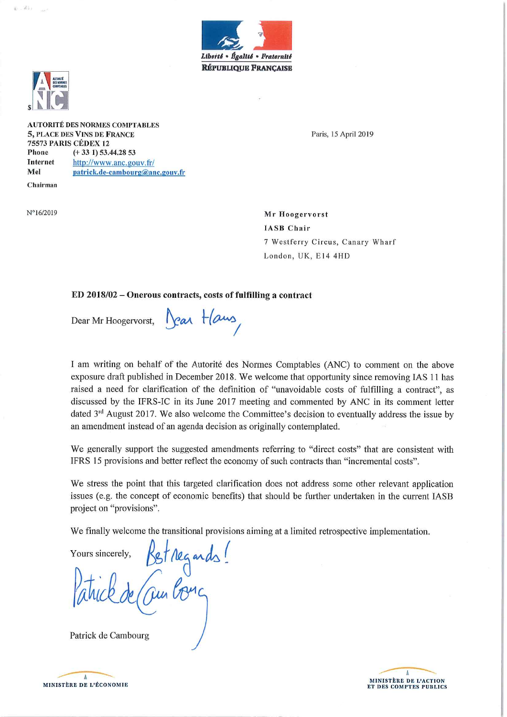



 $N^{\circ}16/2019$ 

 $2 - 25$ .

**AUTORITÉ DES NORMES COMPTABLES 5, PLACE DES VINS DE FRANCE** 75573 PARIS CÉDEX 12 Phone  $(+331)$  53.44.28 53 **Internet** http://www.anc.gouv.fr/ Mel patrick.de-cambourg@anc.gouv.fr Chairman

Paris, 15 April 2019

Mr Hoogervorst **IASB** Chair 7 Westferry Circus, Canary Wharf London, UK, E14 4HD

### ED 2018/02 - Onerous contracts, costs of fulfilling a contract

Dear Mr Hoogervorst,

Jean Haus

I am writing on behalf of the Autorité des Normes Comptables (ANC) to comment on the above exposure draft published in December 2018. We welcome that opportunity since removing IAS 11 has raised a need for clarification of the definition of "unavoidable costs of fulfilling a contract", as discussed by the IFRS-IC in its June 2017 meeting and commented by ANC in its comment letter dated 3<sup>rd</sup> August 2017. We also welcome the Committee's decision to eventually address the issue by an amendment instead of an agenda decision as originally contemplated.

We generally support the suggested amendments referring to "direct costs" that are consistent with IFRS 15 provisions and better reflect the economy of such contracts than "incremental costs".

We stress the point that this targeted clarification does not address some other relevant application issues (e.g. the concept of economic benefits) that should be further undertaken in the current IASB project on "provisions".

We finally welcome the transitional provisions aiming at a limited retrospective implementation.

Yours sincerely,

Bet regards!

Patrick de Cambourg